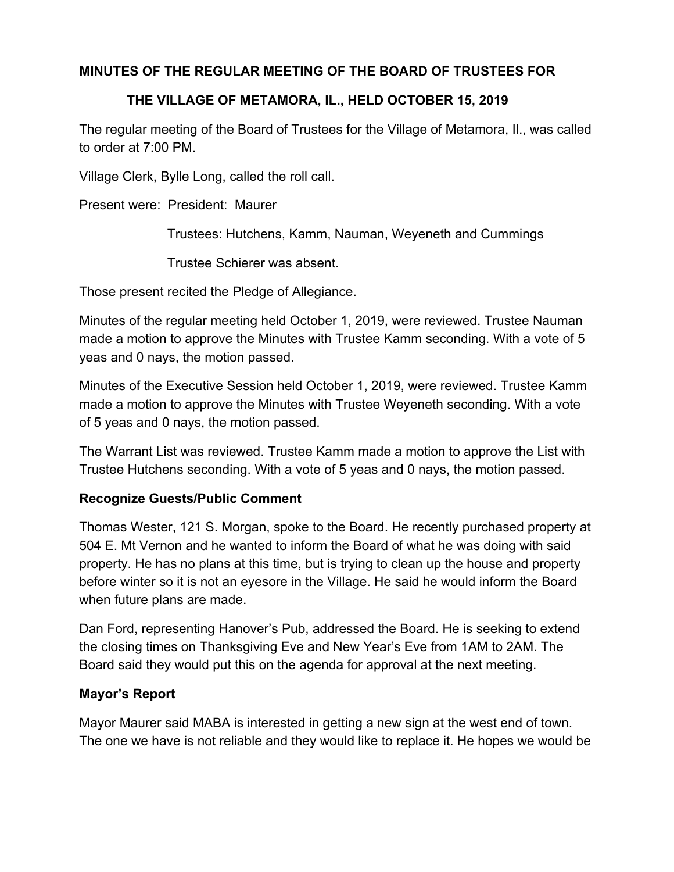# **MINUTES OF THE REGULAR MEETING OF THE BOARD OF TRUSTEES FOR**

# **THE VILLAGE OF METAMORA, IL., HELD OCTOBER 15, 2019**

The regular meeting of the Board of Trustees for the Village of Metamora, Il., was called to order at 7:00 PM.

Village Clerk, Bylle Long, called the roll call.

Present were: President: Maurer

Trustees: Hutchens, Kamm, Nauman, Weyeneth and Cummings

Trustee Schierer was absent.

Those present recited the Pledge of Allegiance.

Minutes of the regular meeting held October 1, 2019, were reviewed. Trustee Nauman made a motion to approve the Minutes with Trustee Kamm seconding. With a vote of 5 yeas and 0 nays, the motion passed.

Minutes of the Executive Session held October 1, 2019, were reviewed. Trustee Kamm made a motion to approve the Minutes with Trustee Weyeneth seconding. With a vote of 5 yeas and 0 nays, the motion passed.

The Warrant List was reviewed. Trustee Kamm made a motion to approve the List with Trustee Hutchens seconding. With a vote of 5 yeas and 0 nays, the motion passed.

## **Recognize Guests/Public Comment**

Thomas Wester, 121 S. Morgan, spoke to the Board. He recently purchased property at 504 E. Mt Vernon and he wanted to inform the Board of what he was doing with said property. He has no plans at this time, but is trying to clean up the house and property before winter so it is not an eyesore in the Village. He said he would inform the Board when future plans are made.

Dan Ford, representing Hanover's Pub, addressed the Board. He is seeking to extend the closing times on Thanksgiving Eve and New Year's Eve from 1AM to 2AM. The Board said they would put this on the agenda for approval at the next meeting.

## **Mayor's Report**

Mayor Maurer said MABA is interested in getting a new sign at the west end of town. The one we have is not reliable and they would like to replace it. He hopes we would be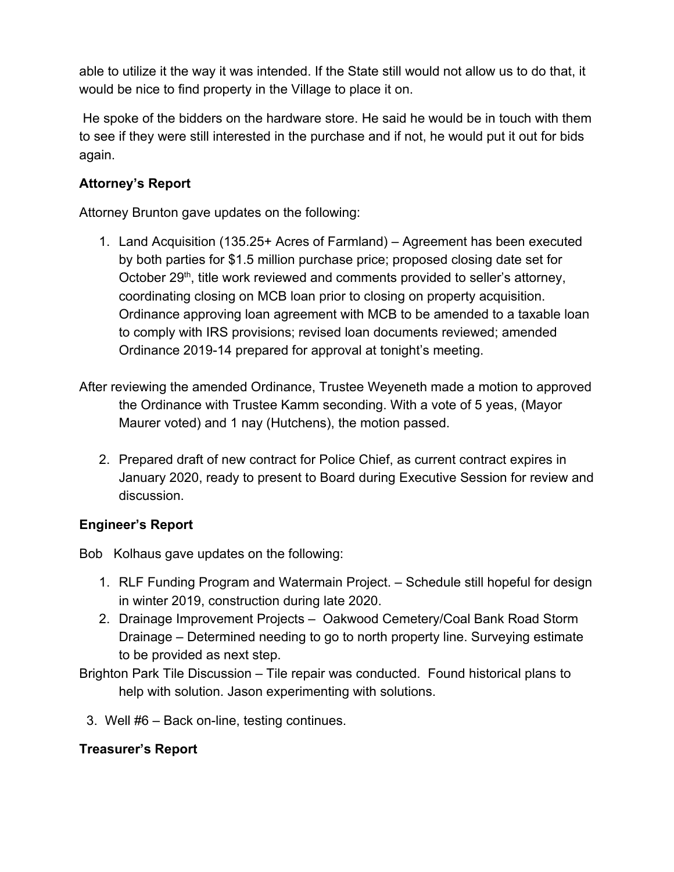able to utilize it the way it was intended. If the State still would not allow us to do that, it would be nice to find property in the Village to place it on.

 He spoke of the bidders on the hardware store. He said he would be in touch with them to see if they were still interested in the purchase and if not, he would put it out for bids again.

# **Attorney's Report**

Attorney Brunton gave updates on the following:

- 1. Land Acquisition (135.25+ Acres of Farmland) Agreement has been executed by both parties for \$1.5 million purchase price; proposed closing date set for October 29<sup>th</sup>, title work reviewed and comments provided to seller's attorney, coordinating closing on MCB loan prior to closing on property acquisition. Ordinance approving loan agreement with MCB to be amended to a taxable loan to comply with IRS provisions; revised loan documents reviewed; amended Ordinance 2019-14 prepared for approval at tonight's meeting.
- After reviewing the amended Ordinance, Trustee Weyeneth made a motion to approved the Ordinance with Trustee Kamm seconding. With a vote of 5 yeas, (Mayor Maurer voted) and 1 nay (Hutchens), the motion passed.
	- 2. Prepared draft of new contract for Police Chief, as current contract expires in January 2020, ready to present to Board during Executive Session for review and discussion.

# **Engineer's Report**

Bob Kolhaus gave updates on the following:

- 1. RLF Funding Program and Watermain Project. Schedule still hopeful for design in winter 2019, construction during late 2020.
- 2. Drainage Improvement Projects Oakwood Cemetery/Coal Bank Road Storm Drainage – Determined needing to go to north property line. Surveying estimate to be provided as next step.
- Brighton Park Tile Discussion Tile repair was conducted. Found historical plans to help with solution. Jason experimenting with solutions.
	- 3. Well #6 Back on-line, testing continues.

# **Treasurer's Report**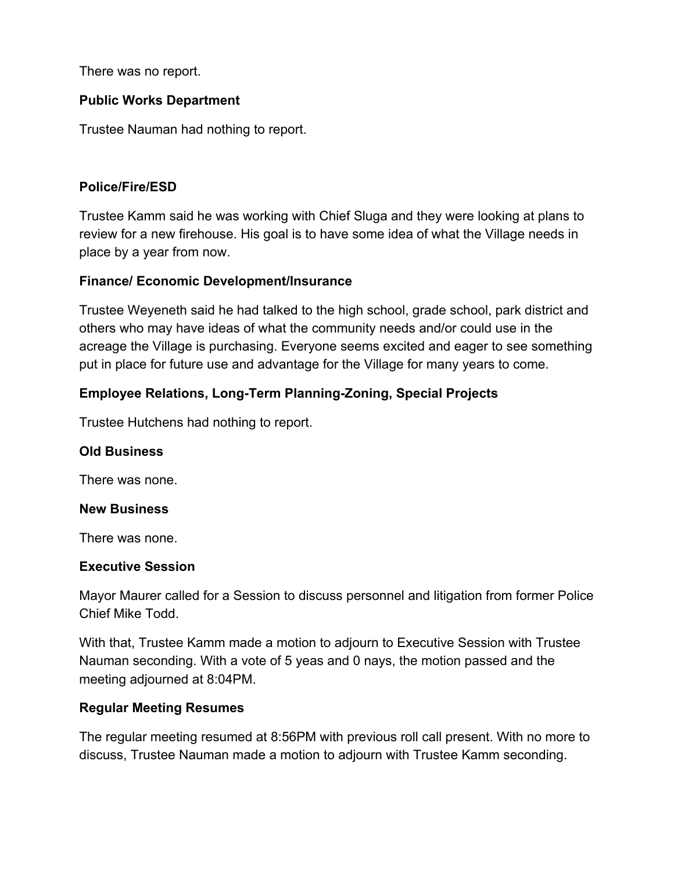There was no report.

## **Public Works Department**

Trustee Nauman had nothing to report.

### **Police/Fire/ESD**

Trustee Kamm said he was working with Chief Sluga and they were looking at plans to review for a new firehouse. His goal is to have some idea of what the Village needs in place by a year from now.

## **Finance/ Economic Development/Insurance**

Trustee Weyeneth said he had talked to the high school, grade school, park district and others who may have ideas of what the community needs and/or could use in the acreage the Village is purchasing. Everyone seems excited and eager to see something put in place for future use and advantage for the Village for many years to come.

# **Employee Relations, Long-Term Planning-Zoning, Special Projects**

Trustee Hutchens had nothing to report.

### **Old Business**

There was none.

### **New Business**

There was none.

### **Executive Session**

Mayor Maurer called for a Session to discuss personnel and litigation from former Police Chief Mike Todd.

With that, Trustee Kamm made a motion to adjourn to Executive Session with Trustee Nauman seconding. With a vote of 5 yeas and 0 nays, the motion passed and the meeting adjourned at 8:04PM.

### **Regular Meeting Resumes**

The regular meeting resumed at 8:56PM with previous roll call present. With no more to discuss, Trustee Nauman made a motion to adjourn with Trustee Kamm seconding.